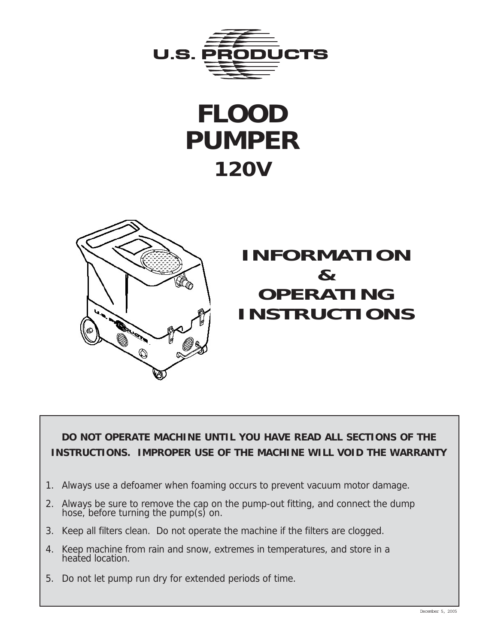

# **FLOOD PUMPER 120V**



**DO NOT OPERATE MACHINE UNTIL YOU HAVE READ ALL SECTIONS OF THE INSTRUCTIONS. IMPROPER USE OF THE MACHINE WILL VOID THE WARRANTY**

- 1. Always use a defoamer when foaming occurs to prevent vacuum motor damage.
- 2. Always be sure to remove the cap on the pump-out fitting, and connect the dump hose, before turning the pump(s) on.
- 3. Keep all filters clean. Do not operate the machine if the filters are clogged.
- 4. Keep machine from rain and snow, extremes in temperatures, and store in a heated location.
- 5. Do not let pump run dry for extended periods of time.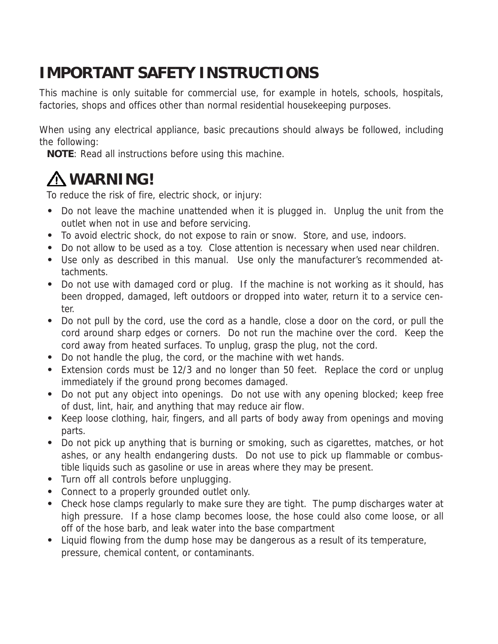## **IMPORTANT SAFETY INSTRUCTIONS**

This machine is only suitable for commercial use, for example in hotels, schools, hospitals, factories, shops and offices other than normal residential housekeeping purposes.

When using any electrical appliance, basic precautions should always be followed, including the following:

**NOTE**: Read all instructions before using this machine.

# **WARNING!**

To reduce the risk of fire, electric shock, or injury:

- **•** Do not leave the machine unattended when it is plugged in. Unplug the unit from the outlet when not in use and before servicing.
- **•** To avoid electric shock, do not expose to rain or snow. Store, and use, indoors.
- **•** Do not allow to be used as a toy. Close attention is necessary when used near children.
- **•** Use only as described in this manual. Use only the manufacturer's recommended attachments.
- **•** Do not use with damaged cord or plug. If the machine is not working as it should, has been dropped, damaged, left outdoors or dropped into water, return it to a service center.
- **•** Do not pull by the cord, use the cord as a handle, close a door on the cord, or pull the cord around sharp edges or corners. Do not run the machine over the cord. Keep the cord away from heated surfaces. To unplug, grasp the plug, not the cord.
- **•** Do not handle the plug, the cord, or the machine with wet hands.
- **•** Extension cords must be 12/3 and no longer than 50 feet. Replace the cord or unplug immediately if the ground prong becomes damaged.
- **•** Do not put any object into openings. Do not use with any opening blocked; keep free of dust, lint, hair, and anything that may reduce air flow.
- **•** Keep loose clothing, hair, fingers, and all parts of body away from openings and moving parts.
- **•** Do not pick up anything that is burning or smoking, such as cigarettes, matches, or hot ashes, or any health endangering dusts. Do not use to pick up flammable or combustible liquids such as gasoline or use in areas where they may be present.
- **•** Turn off all controls before unplugging.
- **•** Connect to a properly grounded outlet only.
- **•** Check hose clamps regularly to make sure they are tight. The pump discharges water at high pressure. If a hose clamp becomes loose, the hose could also come loose, or all off of the hose barb, and leak water into the base compartment
- **•** Liquid flowing from the dump hose may be dangerous as a result of its temperature, pressure, chemical content, or contaminants.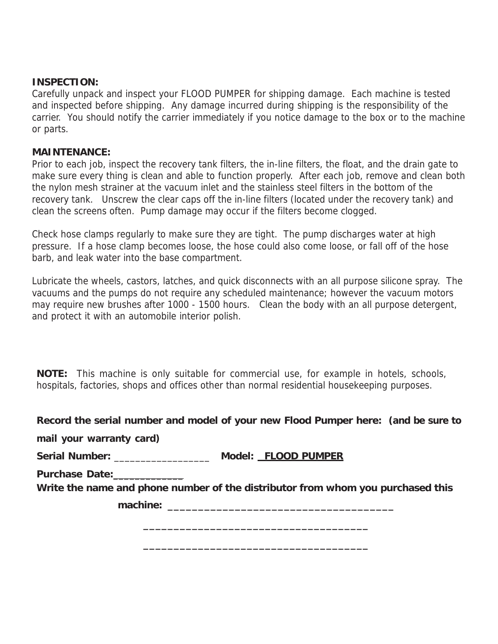#### **INSPECTION:**

Carefully unpack and inspect your FLOOD PUMPER for shipping damage. Each machine is tested and inspected before shipping. Any damage incurred during shipping is the responsibility of the carrier. You should notify the carrier immediately if you notice damage to the box or to the machine or parts.

#### **MAINTENANCE:**

Prior to each job, inspect the recovery tank filters, the in-line filters, the float, and the drain gate to make sure every thing is clean and able to function properly. After each job, remove and clean both the nylon mesh strainer at the vacuum inlet and the stainless steel filters in the bottom of the recovery tank. Unscrew the clear caps off the in-line filters (located under the recovery tank) and clean the screens often. Pump damage may occur if the filters become clogged.

Check hose clamps regularly to make sure they are tight. The pump discharges water at high pressure. If a hose clamp becomes loose, the hose could also come loose, or fall off of the hose barb, and leak water into the base compartment.

Lubricate the wheels, castors, latches, and quick disconnects with an all purpose silicone spray. The vacuums and the pumps do not require any scheduled maintenance; however the vacuum motors may require new brushes after 1000 - 1500 hours. Clean the body with an all purpose detergent, and protect it with an automobile interior polish.

**NOTE:** This machine is only suitable for commercial use, for example in hotels, schools, hospitals, factories, shops and offices other than normal residential housekeeping purposes.

#### **Record the serial number and model of your new Flood Pumper here: (and be sure to**

**mail your warranty card)**

**Serial Number:** \_\_\_\_\_\_\_\_\_\_\_\_\_\_\_\_\_\_ **Model: FLOOD PUMPER**

**Purchase Date:**\_\_\_\_\_\_\_\_\_\_\_\_\_

**Write the name and phone number of the distributor from whom you purchased this**

**\_\_\_\_\_\_\_\_\_\_\_\_\_\_\_\_\_\_\_\_\_\_\_\_\_\_\_\_\_\_\_\_\_\_\_\_\_**

**\_\_\_\_\_\_\_\_\_\_\_\_\_\_\_\_\_\_\_\_\_\_\_\_\_\_\_\_\_\_\_\_\_\_\_\_\_**

**machine: \_\_\_\_\_\_\_\_\_\_\_\_\_\_\_\_\_\_\_\_\_\_\_\_\_\_\_\_\_\_\_\_\_\_\_\_\_**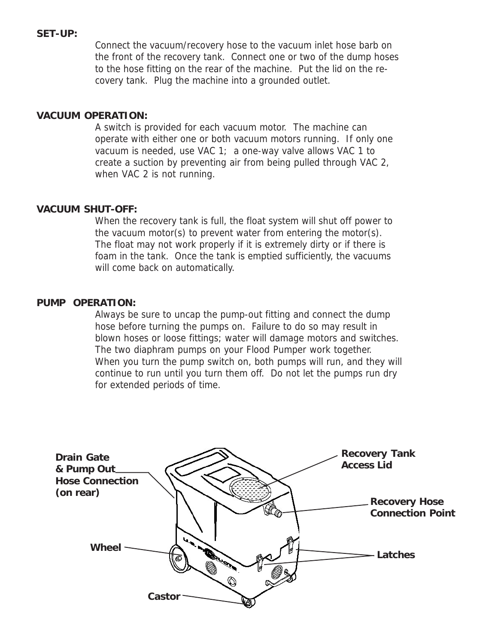#### **SET-UP:**

Connect the vacuum/recovery hose to the vacuum inlet hose barb on the front of the recovery tank. Connect one or two of the dump hoses to the hose fitting on the rear of the machine. Put the lid on the recovery tank. Plug the machine into a grounded outlet.

#### **VACUUM OPERATION:**

A switch is provided for each vacuum motor. The machine can operate with either one or both vacuum motors running. If only one vacuum is needed, use VAC 1; a one-way valve allows VAC 1 to create a suction by preventing air from being pulled through VAC 2, when VAC 2 is not running.

#### **VACUUM SHUT-OFF:**

When the recovery tank is full, the float system will shut off power to the vacuum motor(s) to prevent water from entering the motor(s). The float may not work properly if it is extremely dirty or if there is foam in the tank. Once the tank is emptied sufficiently, the vacuums will come back on automatically.

#### **PUMP OPERATION:**

Always be sure to uncap the pump-out fitting and connect the dump hose before turning the pumps on. Failure to do so may result in blown hoses or loose fittings; water will damage motors and switches. The two diaphram pumps on your Flood Pumper work together. When you turn the pump switch on, both pumps will run, and they will continue to run until you turn them off. Do not let the pumps run dry for extended periods of time.

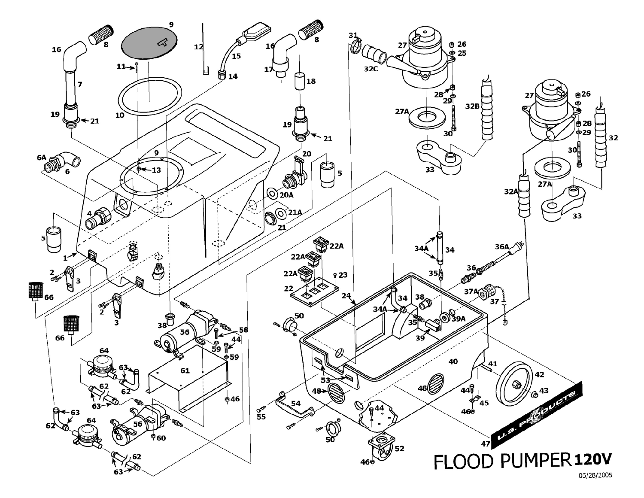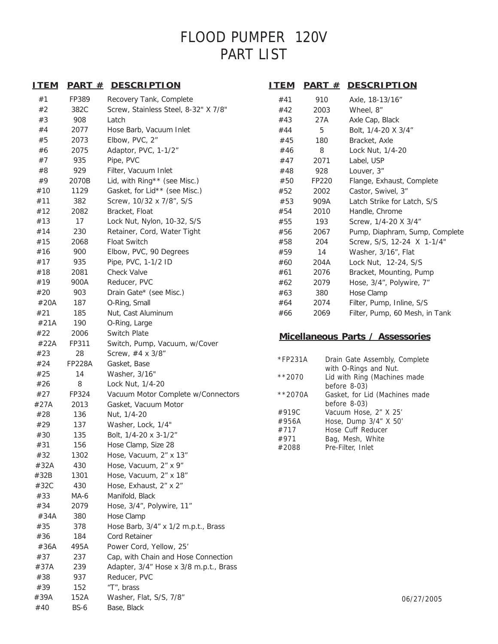## FLOOD PUMPER 120V PART LIST

| <u>ITEM</u> |               | <b>PART # DESCRIPTION</b>              | <u>ITEM</u>   |       | <b>PART # DESCRIPTION</b>                              |
|-------------|---------------|----------------------------------------|---------------|-------|--------------------------------------------------------|
| #1          | FP389         | Recovery Tank, Complete                | #41           | 910   | Axle, 18-13/16"                                        |
| #2          | 382C          | Screw, Stainless Steel, 8-32" X 7/8"   | #42           | 2003  | Wheel, 8"                                              |
| #3          | 908           | Latch                                  | #43           | 27A   | Axle Cap, Black                                        |
| #4          | 2077          | Hose Barb, Vacuum Inlet                | #44           | 5     | Bolt, 1/4-20 X 3/4"                                    |
| #5          | 2073          | Elbow, PVC, 2"                         | #45           | 180   | Bracket, Axle                                          |
| #6          | 2075          | Adaptor, PVC, 1-1/2"                   | #46           | 8     | Lock Nut, 1/4-20                                       |
| #7          | 935           | Pipe, PVC                              | #47           | 2071  | Label, USP                                             |
| #8          | 929           | Filter, Vacuum Inlet                   | #48           | 928   | Louver, 3"                                             |
| #9          | 2070B         | Lid, with Ring** (see Misc.)           | #50           | FP220 | Flange, Exhaust, Complete                              |
| #10         | 1129          | Gasket, for Lid** (see Misc.)          | #52           | 2002  | Castor, Swivel, 3"                                     |
| #11         | 382           | Screw, 10/32 x 7/8", S/S               | #53           | 909A  | Latch Strike for Latch, S/S                            |
| #12         | 2082          | Bracket, Float                         | #54           | 2010  | Handle, Chrome                                         |
| #13         | 17            | Lock Nut, Nylon, 10-32, S/S            | #55           | 193   | Screw, 1/4-20 X 3/4"                                   |
| #14         | 230           | Retainer, Cord, Water Tight            | #56           | 2067  | Pump, Diaphram, Sump, Complete                         |
| #15         | 2068          | <b>Float Switch</b>                    | #58           | 204   | Screw, S/S, 12-24 X 1-1/4"                             |
| #16         | 900           | Elbow, PVC, 90 Degrees                 | #59           | 14    | Washer, 3/16", Flat                                    |
| #17         | 935           | Pipe, PVC, 1-1/2 ID                    | #60           | 204A  | Lock Nut, 12-24, S/S                                   |
| #18         | 2081          | <b>Check Valve</b>                     | #61           | 2076  | Bracket, Mounting, Pump                                |
| #19         | 900A          | Reducer, PVC                           | #62           | 2079  | Hose, 3/4", Polywire, 7"                               |
| #20         | 903           | Drain Gate* (see Misc.)                | #63           | 380   | Hose Clamp                                             |
| #20A        | 187           | O-Ring, Small                          | #64           | 2074  | Filter, Pump, Inline, S/S                              |
| #21         | 185           | Nut, Cast Aluminum                     | #66           | 2069  | Filter, Pump, 60 Mesh, in Tank                         |
| #21A        | 190           | O-Ring, Large                          |               |       |                                                        |
| #22         | 2006          | Switch Plate                           |               |       | Micellaneous Parts / Assessories                       |
| #22A        | FP311         | Switch, Pump, Vacuum, w/Cover          |               |       |                                                        |
| #23         | 28            | Screw, #4 x 3/8"                       |               |       |                                                        |
| #24         | <b>FP228A</b> | Gasket, Base                           | *FP231A       |       | Drain Gate Assembly, Complete<br>with O-Rings and Nut. |
| #25         | 14            | Washer, 3/16"                          | $**2070$      |       | Lid with Ring (Machines made                           |
| #26         | 8             | Lock Nut, 1/4-20                       |               |       | before $8-03$ )                                        |
| #27         | FP324         | Vacuum Motor Complete w/Connectors     | $**2070A$     |       | Gasket, for Lid (Machines made                         |
| #27A        | 2013          | Gasket, Vacuum Motor                   |               |       | before $8-03$ )                                        |
| #28         | 136           | Nut, 1/4-20                            | #919C         |       | Vacuum Hose, 2" X 25'                                  |
| #29         | 137           | Washer, Lock, 1/4"                     | #956A<br>#717 |       | Hose, Dump 3/4" X 50'<br>Hose Cuff Reducer             |
| #30         | 135           | Bolt, 1/4-20 x 3-1/2"                  | #971          |       | Bag, Mesh, White                                       |
| #31         | 156           | Hose Clamp, Size 28                    | #2088         |       | Pre-Filter, Inlet                                      |
| #32         | 1302          | Hose, Vacuum, 2" x 13"                 |               |       |                                                        |
| #32A        | 430           | Hose, Vacuum, 2" x 9"                  |               |       |                                                        |
| #32B        | 1301          | Hose, Vacuum, 2" x 18"                 |               |       |                                                        |
| #32C        | 430           | Hose, Exhaust, 2" x 2"                 |               |       |                                                        |
| #33         | MA-6          | Manifold, Black                        |               |       |                                                        |
| #34         | 2079          | Hose, 3/4", Polywire, 11"              |               |       |                                                        |
| #34A        | 380           | Hose Clamp                             |               |       |                                                        |
| #35         | 378           | Hose Barb, 3/4" x 1/2 m.p.t., Brass    |               |       |                                                        |
| #36         | 184           | <b>Cord Retainer</b>                   |               |       |                                                        |
| #36A        | 495A          | Power Cord, Yellow, 25'                |               |       |                                                        |
| #37         | 237           | Cap, with Chain and Hose Connection    |               |       |                                                        |
| #37A        | 239           | Adapter, 3/4" Hose x 3/8 m.p.t., Brass |               |       |                                                        |
| #38         | 937           | Reducer, PVC                           |               |       |                                                        |
| #39         | 152           | "T", brass                             |               |       |                                                        |
| #39A        | 152A          | Washer, Flat, S/S, 7/8"                |               |       | 06/27/2005                                             |

#40 BS-6 Base, Black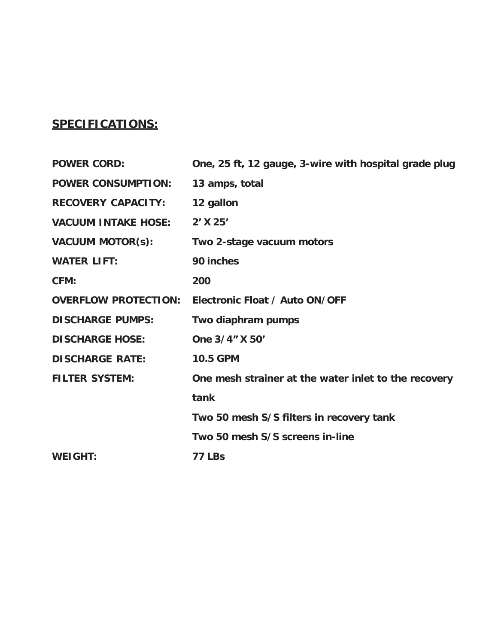### **SPECIFICATIONS:**

| <b>POWER CORD:</b>          | One, 25 ft, 12 gauge, 3-wire with hospital grade plug |
|-----------------------------|-------------------------------------------------------|
| <b>POWER CONSUMPTION:</b>   | 13 amps, total                                        |
| <b>RECOVERY CAPACITY:</b>   | 12 gallon                                             |
| <b>VACUUM INTAKE HOSE:</b>  | 2' X 25'                                              |
| <b>VACUUM MOTOR(s):</b>     | Two 2-stage vacuum motors                             |
| <b>WATER LIFT:</b>          | 90 inches                                             |
| CFM:                        | 200                                                   |
| <b>OVERFLOW PROTECTION:</b> | Electronic Float / Auto ON/OFF                        |
| <b>DISCHARGE PUMPS:</b>     | Two diaphram pumps                                    |
| <b>DISCHARGE HOSE:</b>      | One 3/4" X 50'                                        |
| <b>DISCHARGE RATE:</b>      | <b>10.5 GPM</b>                                       |
| <b>FILTER SYSTEM:</b>       | One mesh strainer at the water inlet to the recovery  |
|                             | tank                                                  |
|                             | Two 50 mesh S/S filters in recovery tank              |
|                             | Two 50 mesh S/S screens in-line                       |
| <b>WEIGHT:</b>              | <b>77 LBs</b>                                         |